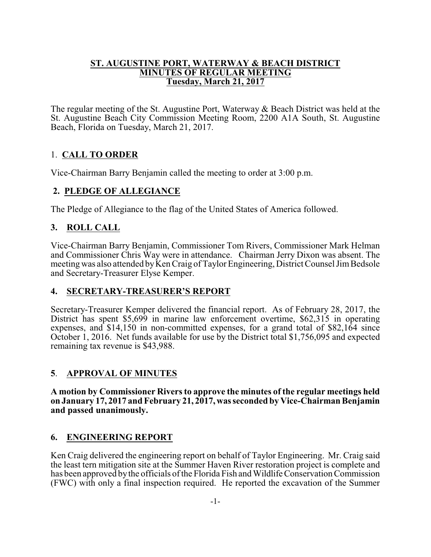#### **ST. AUGUSTINE PORT, WATERWAY & BEACH DISTRICT MINUTES OF REGULAR MEETING Tuesday, March 21, 2017**

The regular meeting of the St. Augustine Port, Waterway & Beach District was held at the St. Augustine Beach City Commission Meeting Room, 2200 A1A South, St. Augustine Beach, Florida on Tuesday, March 21, 2017.

# 1. **CALL TO ORDER**

Vice-Chairman Barry Benjamin called the meeting to order at 3:00 p.m.

## **2. PLEDGE OF ALLEGIANCE**

The Pledge of Allegiance to the flag of the United States of America followed.

# **3. ROLL CALL**

Vice-Chairman Barry Benjamin, Commissioner Tom Rivers, Commissioner Mark Helman and Commissioner Chris Way were in attendance. Chairman Jerry Dixon was absent. The meeting was also attended by Ken Craig of Taylor Engineering, District Counsel Jim Bedsole and Secretary-Treasurer Elyse Kemper.

# **4. SECRETARY-TREASURER'S REPORT**

Secretary-Treasurer Kemper delivered the financial report. As of February 28, 2017, the District has spent \$5,699 in marine law enforcement overtime, \$62,315 in operating expenses, and \$14,150 in non-committed expenses, for a grand total of \$82,164 since October 1, 2016. Net funds available for use by the District total \$1,756,095 and expected remaining tax revenue is \$43,988.

## **5**. **APPROVAL OF MINUTES**

**A motion by Commissioner Rivers to approve the minutes of the regular meetings held on January 17, 2017 and February 21, 2017,wasseconded by Vice-Chairman Benjamin and passed unanimously.**

## **6. ENGINEERING REPORT**

Ken Craig delivered the engineering report on behalf of Taylor Engineering. Mr. Craig said the least tern mitigation site at the Summer Haven River restoration project is complete and has been approved by the officials of the Florida Fish and Wildlife Conservation Commission (FWC) with only a final inspection required. He reported the excavation of the Summer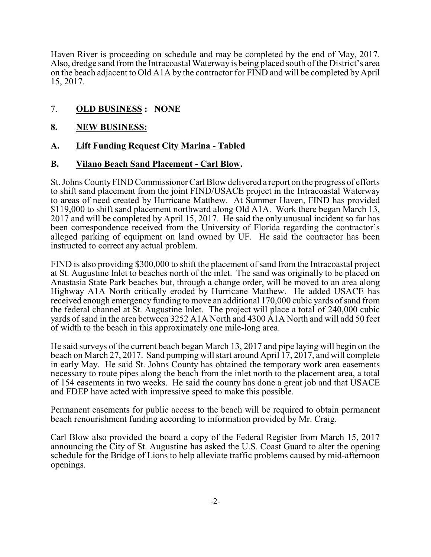Haven River is proceeding on schedule and may be completed by the end of May, 2017. Also, dredge sand from the Intracoastal Waterway is being placed south of the District's area on the beach adjacent to Old A1A by the contractor for FIND and will be completed by April 15, 2017.

### 7. **OLD BUSINESS : NONE**

#### **8. NEW BUSINESS:**

#### **A. Lift Funding Request City Marina - Tabled**

#### **B. Vilano Beach Sand Placement - Carl Blow.**

St. Johns CountyFIND Commissioner Carl Blow delivered a report on the progress of efforts to shift sand placement from the joint FIND/USACE project in the Intracoastal Waterway to areas of need created by Hurricane Matthew. At Summer Haven, FIND has provided \$119,000 to shift sand placement northward along Old A1A. Work there began March 13, 2017 and will be completed by April 15, 2017. He said the only unusual incident so far has been correspondence received from the University of Florida regarding the contractor's alleged parking of equipment on land owned by UF. He said the contractor has been instructed to correct any actual problem.

FIND is also providing \$300,000 to shift the placement of sand from the Intracoastal project at St. Augustine Inlet to beaches north of the inlet. The sand was originally to be placed on Anastasia State Park beaches but, through a change order, will be moved to an area along Highway A1A North critically eroded by Hurricane Matthew. He added USACE has received enough emergency funding to move an additional 170,000 cubic yards of sand from the federal channel at St. Augustine Inlet. The project will place a total of 240,000 cubic yards of sand in the area between 3252 A1A North and 4300 A1A North and will add 50 feet of width to the beach in this approximately one mile-long area.

He said surveys of the current beach began March 13, 2017 and pipe laying will begin on the beach on March 27, 2017. Sand pumping will start around April 17, 2017, and will complete in early May. He said St. Johns County has obtained the temporary work area easements necessary to route pipes along the beach from the inlet north to the placement area, a total of 154 easements in two weeks. He said the county has done a great job and that USACE and FDEP have acted with impressive speed to make this possible.

Permanent easements for public access to the beach will be required to obtain permanent beach renourishment funding according to information provided by Mr. Craig.

Carl Blow also provided the board a copy of the Federal Register from March 15, 2017 announcing the City of St. Augustine has asked the U.S. Coast Guard to alter the opening schedule for the Bridge of Lions to help alleviate traffic problems caused by mid-afternoon openings.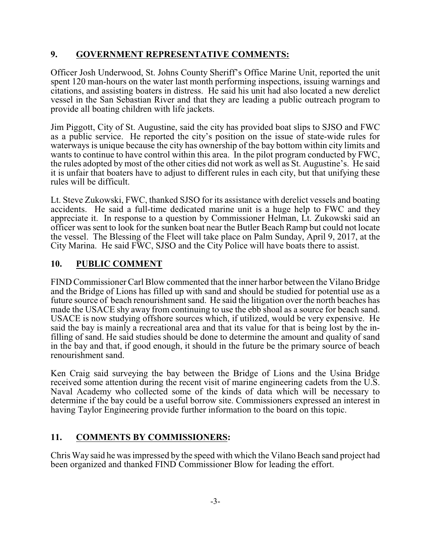## **9. GOVERNMENT REPRESENTATIVE COMMENTS:**

Officer Josh Underwood, St. Johns County Sheriff's Office Marine Unit, reported the unit spent 120 man-hours on the water last month performing inspections, issuing warnings and citations, and assisting boaters in distress. He said his unit had also located a new derelict vessel in the San Sebastian River and that they are leading a public outreach program to provide all boating children with life jackets.

Jim Piggott, City of St. Augustine, said the city has provided boat slips to SJSO and FWC as a public service. He reported the city's position on the issue of state-wide rules for waterways is unique because the city has ownership of the bay bottom within city limits and wants to continue to have control within this area. In the pilot program conducted by FWC, the rules adopted by most of the other cities did not work as well as St. Augustine's. He said it is unfair that boaters have to adjust to different rules in each city, but that unifying these rules will be difficult.

Lt. Steve Zukowski, FWC, thanked SJSO for its assistance with derelict vessels and boating accidents. He said a full-time dedicated marine unit is a huge help to FWC and they appreciate it. In response to a question by Commissioner Helman, Lt. Zukowski said an officer was sent to look for the sunken boat near the Butler Beach Ramp but could not locate the vessel. The Blessing of the Fleet will take place on Palm Sunday, April 9, 2017, at the City Marina. He said FWC, SJSO and the City Police will have boats there to assist.

## **10. PUBLIC COMMENT**

FIND Commissioner Carl Blow commented that the inner harbor between the Vilano Bridge and the Bridge of Lions has filled up with sand and should be studied for potential use as a future source of beach renourishment sand. He said the litigation over the north beaches has made the USACE shy away from continuing to use the ebb shoal as a source for beach sand. USACE is now studying offshore sources which, if utilized, would be very expensive. He said the bay is mainly a recreational area and that its value for that is being lost by the infilling of sand. He said studies should be done to determine the amount and quality of sand in the bay and that, if good enough, it should in the future be the primary source of beach renourishment sand.

Ken Craig said surveying the bay between the Bridge of Lions and the Usina Bridge received some attention during the recent visit of marine engineering cadets from the U.S. Naval Academy who collected some of the kinds of data which will be necessary to determine if the bay could be a useful borrow site. Commissioners expressed an interest in having Taylor Engineering provide further information to the board on this topic.

# **11. COMMENTS BY COMMISSIONERS:**

Chris Way said he was impressed by the speed with which the Vilano Beach sand project had been organized and thanked FIND Commissioner Blow for leading the effort.